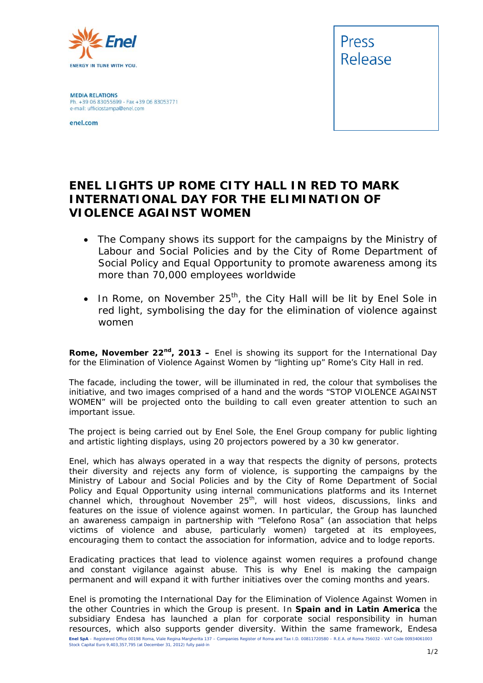

**MEDIA RELATIONS** Ph. +39 06 83055699 - Fax +39 06 83053771 e-mail: ufficiostampa@enel.com

enel.com



## **ENEL LIGHTS UP ROME CITY HALL IN RED TO MARK INTERNATIONAL DAY FOR THE ELIMINATION OF VIOLENCE AGAINST WOMEN**

- *The Company shows its support for the campaigns by the Ministry of Labour and Social Policies and by the City of Rome Department of Social Policy and Equal Opportunity to promote awareness among its more than 70,000 employees worldwide*
- In Rome, on November 25<sup>th</sup>, the City Hall will be lit by Enel Sole in *red light, symbolising the day for the elimination of violence against women*

**Rome, November 22<sup>nd</sup>, 2013 –** Enel is showing its support for the International Day for the Elimination of Violence Against Women by "lighting up" Rome's City Hall in red.

The facade, including the tower, will be illuminated in red, the colour that symbolises the initiative, and two images comprised of a hand and the words "STOP VIOLENCE AGAINST WOMEN" will be projected onto the building to call even greater attention to such an important issue.

The project is being carried out by Enel Sole, the Enel Group company for public lighting and artistic lighting displays, using 20 projectors powered by a 30 kw generator.

Enel, which has always operated in a way that respects the dignity of persons, protects their diversity and rejects any form of violence, is supporting the campaigns by the Ministry of Labour and Social Policies and by the City of Rome Department of Social Policy and Equal Opportunity using internal communications platforms and its Internet channel which, throughout November 25<sup>th</sup>, will host videos, discussions, links and features on the issue of violence against women. In particular, the Group has launched an awareness campaign in partnership with "Telefono Rosa" (an association that helps victims of violence and abuse, particularly women) targeted at its employees, encouraging them to contact the association for information, advice and to lodge reports.

Eradicating practices that lead to violence against women requires a profound change and constant vigilance against abuse. This is why Enel is making the campaign permanent and will expand it with further initiatives over the coming months and years.

**Enel SpA** – Registered Office 00198 Roma, Viale Regina Margherita 137 – Companies Register of Roma and Tax I.D. 00811720580 – R.E.A. of Roma 756032 - VAT Code 00934061003 Stock Capital Euro 9,403,357,795 (at December 31, 2012) fully paid-in Enel is promoting the International Day for the Elimination of Violence Against Women in the other Countries in which the Group is present. In **Spain and in Latin America** the subsidiary Endesa has launched a plan for corporate social responsibility in human resources, which also supports gender diversity. Within the same framework, Endesa